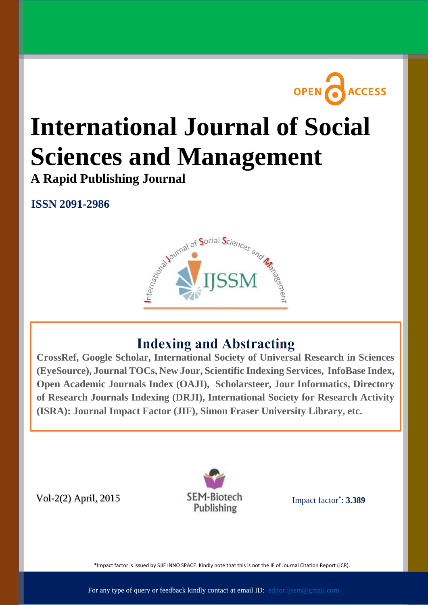

# **International Journal of Social Sciences and Management**

**A Rapid Publishing Journal**

**ISSN 2091-2986**



# **Indexing and Abstracting**

**Available online at: (EyeSource), Journal TOCs, New Jour, Scientific Indexing Services, InfoBase Index, Open Academic Journals Index [\(OAJI\), Scholarst](http://www.ijssm.org/)eer, Jour Informatics, Directory** of Research Journals Indexing (DRJI), International Society for Research Activity  $\frac{1}{2}$ **CrossRef, Google Scholar, International Society of Universal Research in Sciences (ISRA): Journal Impact Factor (JIF), Simon Fraser University Library, etc.**

Vol-2(2) April, 2015



[Impact factor](http://www.sjifactor.inno-space.org/passport.php?id=1574)**\*** : **3.389**

\*Impact factor is issued by SJIF INNO SPACE. Kindly note that this is not the IF of Journal Citation Report (JCR).

For any type of query or feedback kindly contact at email ID: editor.ifmarrogramsil.com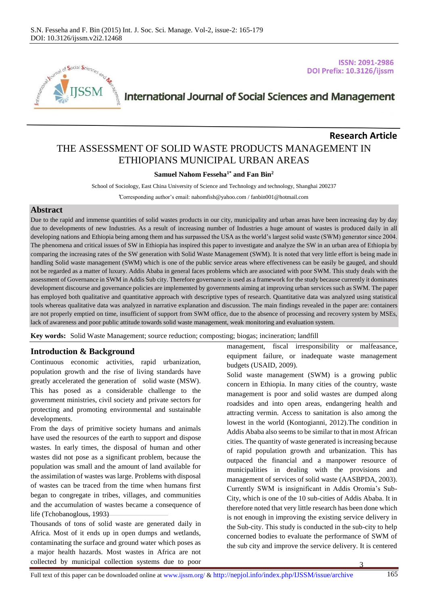

ISSN: 2091-2986 DOI Prefix: 10.3126/ijssm

**Research Article**

# **International Journal of Social Sciences and Management**

# THE ASSESSMENT OF SOLID WASTE PRODUCTS MANAGEMENT IN ETHIOPIANS MUNICIPAL URBAN AREAS

#### **Samuel Nahom Fesseha1\* and Fan Bin<sup>2</sup>**

School of Sociology, East China University of Science and Technology and technology, Shanghai 200237

̽Corresponding author's email[: nahomfish@yahoo.com](mailto:nahomfish@yahoo.com) / [fanbin001@hotmail.com](mailto:fanbin001@hotmail.com)

# **Abstract**

Due to the rapid and immense quantities of solid wastes products in our city, municipality and urban areas have been increasing day by day due to developments of new Industries. As a result of increasing number of Industries a huge amount of wastes is produced daily in all developing nations and Ethiopia being among them and has surpassed the USA as the world's largest solid waste (SWM) generator since 2004. The phenomena and critical issues of SW in Ethiopia has inspired this paper to investigate and analyze the SW in an urban area of Ethiopia by comparing the increasing rates of the SW generation with Solid Waste Management (SWM). It is noted that very little effort is being made in handling Solid waste management (SWM) which is one of the public service areas where effectiveness can be easily be gauged, and should not be regarded as a matter of luxury. Addis Ababa in general faces problems which are associated with poor SWM. This study deals with the assessment of Governance in SWM in Addis Sub city. Therefore governance is used as a framework for the study because currently it dominates development discourse and governance policies are implemented by governments aiming at improving urban services such as SWM. The paper has employed both qualitative and quantitative approach with descriptive types of research. Quantitative data was analyzed using statistical tools whereas qualitative data was analyzed in narrative explanation and discussion. The main findings revealed in the paper are: containers are not properly emptied on time, insufficient of support from SWM office, due to the absence of processing and recovery system by MSEs, lack of awareness and poor public attitude towards solid waste management, weak monitoring and evaluation system.

**Key words:** Solid Waste Management; source reduction; composting; biogas; incineration; landfill

# **Introduction & Background**

Continuous economic activities, rapid urbanization, population growth and the rise of living standards have greatly accelerated the generation of solid waste (MSW). This has posed as a considerable challenge to the government ministries, civil society and private sectors for protecting and promoting environmental and sustainable developments.

From the days of primitive society humans and animals have used the resources of the earth to support and dispose wastes. In early times, the disposal of human and other wastes did not pose as a significant problem, because the population was small and the amount of land available for the assimilation of wastes was large. Problems with disposal of wastes can be traced from the time when humans first began to congregate in tribes, villages, and communities and the accumulation of wastes became a consequence of life (Tchobanoglous, 1993)

Thousands of tons of solid waste are generated daily in Africa. Most of it ends up in open dumps and wetlands, contaminating the surface and ground water which poses as a major health hazards. Most wastes in Africa are not collected by municipal collection systems due to poor management, fiscal irresponsibility or malfeasance, equipment failure, or inadequate waste management budgets (USAID, 2009).

Solid waste management (SWM) is a growing public concern in Ethiopia. In many cities of the country, waste management is poor and solid wastes are dumped along roadsides and into open areas, endangering health and attracting vermin. Access to sanitation is also among the lowest in the world (Kontogianni, 2012).The condition in Addis Ababa also seems to be similar to that in most African cities. The quantity of waste generated is increasing because of rapid population growth and urbanization. This has outpaced the financial and a manpower resource of municipalities in dealing with the provisions and management of services of solid waste (AASBPDA, 2003). Currently SWM is insignificant in Addis Oromia's Sub-City, which is one of the 10 sub-cities of Addis Ababa. It in therefore noted that very little research has been done which is not enough in improving the existing service delivery in the Sub-city. This study is conducted in the sub-city to help concerned bodies to evaluate the performance of SWM of the sub city and improve the service delivery. It is centered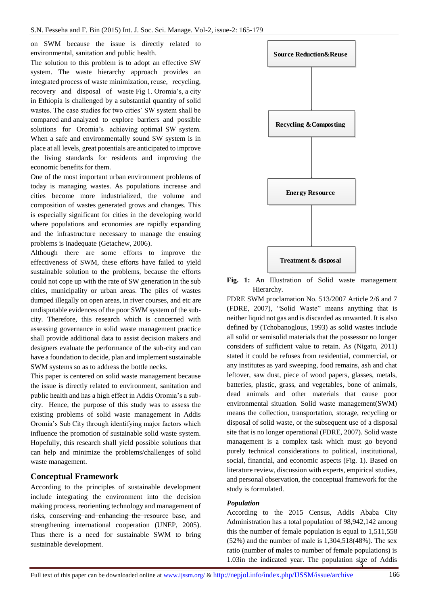on SWM because the issue is directly related to environmental, sanitation and public health.

The solution to this problem is to adopt an effective SW system. The waste hierarchy approach provides an integrated process of waste minimization, reuse, recycling, recovery and disposal of waste Fig 1. Oromia's, a city in Ethiopia is challenged by a substantial quantity of solid wastes. The case studies for two cities' SW system shall be compared and analyzed to explore barriers and possible solutions for Oromia's achieving optimal SW system. When a safe and environmentally sound SW system is in place at all levels, great potentials are anticipated to improve the living standards for residents and improving the economic benefits for them.

One of the most important urban environment problems of today is managing wastes. As populations increase and cities become more industrialized, the volume and composition of wastes generated grows and changes. This is especially significant for cities in the developing world where populations and economies are rapidly expanding and the infrastructure necessary to manage the ensuing problems is inadequate (Getachew, 2006).

Although there are some efforts to improve the effectiveness of SWM, these efforts have failed to yield sustainable solution to the problems, because the efforts could not cope up with the rate of SW generation in the sub cities, municipality or urban areas. The piles of wastes dumped illegally on open areas, in river courses, and etc are undisputable evidences of the poor SWM system of the subcity. Therefore, this research which is concerned with assessing governance in solid waste management practice shall provide additional data to assist decision makers and designers evaluate the performance of the sub-city and can have a foundation to decide, plan and implement sustainable SWM systems so as to address the bottle necks.

This paper is centered on solid waste management because the issue is directly related to environment, sanitation and public health and has a high effect in Addis Oromia's a subcity. Hence, the purpose of this study was to assess the existing problems of solid waste management in Addis Oromia's Sub City through identifying major factors which influence the promotion of sustainable solid waste system. Hopefully, this research shall yield possible solutions that can help and minimize the problems/challenges of solid waste management.

# **Conceptual Framework**

According to the principles of sustainable development include integrating the environment into the decision making process, reorienting technology and management of risks, conserving and enhancing the resource base, and strengthening international cooperation (UNEP, 2005). Thus there is a need for sustainable SWM to bring sustainable development.



**Fig. 1:** An Illustration of Solid waste management Hierarchy.

FDRE SWM proclamation No. 513/2007 Article 2/6 and 7 (FDRE, 2007), "Solid Waste" means anything that is neither liquid not gas and is discarded as unwanted. It is also defined by (Tchobanoglous, 1993) as solid wastes include all solid or semisolid materials that the possessor no longer considers of sufficient value to retain. As (Nigatu, 2011) stated it could be refuses from residential, commercial, or any institutes as yard sweeping, food remains, ash and chat leftover, saw dust, piece of wood papers, glasses, metals, batteries, plastic, grass, and vegetables, bone of animals, dead animals and other materials that cause poor environmental situation. Solid waste management(SWM) means the collection, transportation, storage, recycling or disposal of solid waste, or the subsequent use of a disposal site that is no longer operational (FDRE, 2007). Solid waste management is a complex task which must go beyond purely technical considerations to political, institutional, social, financial, and economic aspects (Fig. 1). Based on literature review, discussion with experts, empirical studies, and personal observation, the conceptual framework for the study is formulated.

#### *Population*

1.03in the indicated year. The population size of Addis According to the 2015 Census, Addis Ababa City Administration has a total population of 98,942,142 among this the number of female population is equal to 1,511,558 (52%) and the number of male is 1,304,518(48%). The sex ratio (number of males to number of female populations) is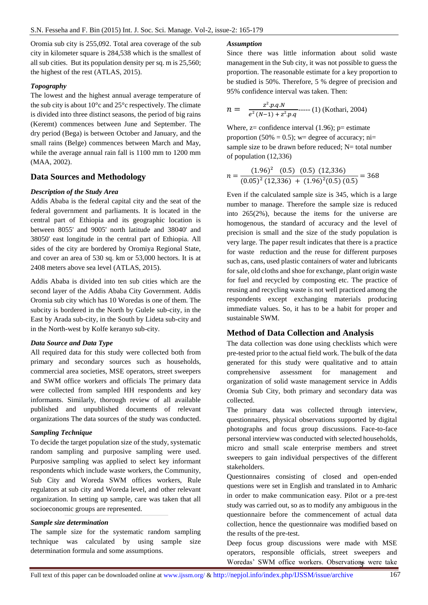Oromia sub city is 255,092. Total area coverage of the sub city in kilometer square is 284,538 which is the smallest of all sub cities. But its population density per sq. m is 25,560; the highest of the rest (ATLAS, 2015).

#### *Topography*

The lowest and the highest annual average temperature of the sub city is about 10°c and 25°c respectively. The climate is divided into three distinct seasons, the period of big rains (Keremt) commences between June and September. The dry period (Bega) is between October and January, and the small rains (Belge) commences between March and May, while the average annual rain fall is 1100 mm to 1200 mm (MAA, 2002).

## **Data Sources and Methodology**

#### *Description of the Study Area*

Addis Ababa is the federal capital city and the seat of the federal government and parliaments. It is located in the central part of Ethiopia and its geographic location is between 8055' and 9005' north latitude and 38040' and 38050' east longitude in the central part of Ethiopia. All sides of the city are bordered by Oromiya Regional State, and cover an area of 530 sq. km or 53,000 hectors. It is at 2408 meters above sea level (ATLAS, 2015).

Addis Ababa is divided into ten sub cities which are the second layer of the Addis Ababa City Government. Addis Oromia sub city which has 10 Woredas is one of them. The subcity is bordered in the North by Gulele sub-city, in the East by Arada sub-city, in the South by Lideta sub-city and in the North-west by Kolfe keranyo sub-city.

## *Data Source and Data Type*

All required data for this study were collected both from primary and secondary sources such as households, commercial area societies, MSE operators, street sweepers and SWM office workers and officials The primary data were collected from sampled HH respondents and key informants. Similarly, thorough review of all available published and unpublished documents of relevant organizations The data sources of the study was conducted.

#### *Sampling Technique*

To decide the target population size of the study, systematic random sampling and purposive sampling were used. Purposive sampling was applied to select key informant respondents which include waste workers, the Community, Sub City and Woreda SWM offices workers, Rule regulators at sub city and Woreda level, and other relevant organization. In setting up sample, care was taken that all socioeconomic groups are represented.

### *Sample size determination*

The sample size for the systematic random sampling technique was calculated by using sample size determination formula and some assumptions.

#### *Assumption*

Since there was little information about solid waste management in the Sub city, it was not possible to guess the proportion. The reasonable estimate for a key proportion to be studied is 50%. Therefore, 5 % degree of precision and 95% confidence interval was taken. Then:

$$
n = \frac{z^2 \cdot p \cdot q \cdot N}{e^2 \left(N - 1\right) + z^2 \cdot p \cdot q} \dots (1) \text{ (Kothari, 2004)}
$$

Where,  $z =$  confidence interval (1.96);  $p =$  estimate proportion (50% = 0.5); w= degree of accuracy; ni= sample size to be drawn before reduced;  $N=$  total number of population (12,336)

$$
n = \frac{(1.96)^2 (0.5) (0.5) (12,336)}{(0.05)^2 (12,336) + (1.96)^2 (0.5) (0.5)} = 368
$$

Even if the calculated sample size is 345, which is a large number to manage. Therefore the sample size is reduced into 265(2%), because the items for the universe are homogenous, the standard of accuracy and the level of precision is small and the size of the study population is very large. The paper result indicates that there is a practice for waste reduction and the reuse for different purposes such as, cans, used plastic containers of water and lubricants for sale, old cloths and shoe for exchange, plant origin waste for fuel and recycled by composting etc. The practice of reusing and recycling waste is not well practiced among the respondents except exchanging materials producing immediate values. So, it has to be a habit for proper and sustainable SWM.

# **Method of Data Collection and Analysis**

The data collection was done using checklists which were pre-tested prior to the actual field work. The bulk of the data generated for this study were qualitative and to attain comprehensive assessment for management and organization of solid waste management service in Addis Oromia Sub City, both primary and secondary data was collected.

The primary data was collected through interview, questionnaires, physical observations supported by digital photographs and focus group discussions. Face-to-face personal interview was conducted with selected households, micro and small scale enterprise members and street sweepers to gain individual perspectives of the different stakeholders.

Questionnaires consisting of closed and open-ended questions were set in English and translated in to Amharic in order to make communication easy. Pilot or a pre-test study was carried out, so as to modify any ambiguous in the questionnaire before the commencement of actual data collection, hence the questionnaire was modified based on the results of the pre-test.

Woredas' SWM office workers. Observations were take Deep focus group discussions were made with MSE operators, responsible officials, street sweepers and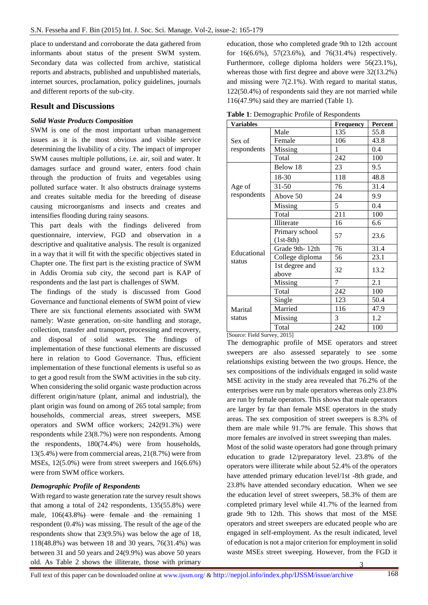place to understand and corroborate the data gathered from informants about status of the present SWM system. Secondary data was collected from archive, statistical reports and abstracts, published and unpublished materials, internet sources, proclamation, policy guidelines, journals and different reports of the sub-city.

# **Result and Discussions**

# *Solid Waste Products Composition*

SWM is one of the most important urban management issues as it is the most obvious and visible service determining the livability of a city. The impact of improper SWM causes multiple pollutions, i.e. air, soil and water. It damages surface and ground water, enters food chain through the production of fruits and vegetables using polluted surface water. It also obstructs drainage systems and creates suitable media for the breeding of disease causing microorganisms and insects and creates and intensifies flooding during rainy seasons.

This part deals with the findings delivered from questionnaire, interview, FGD and observation in a descriptive and qualitative analysis. The result is organized in a way that it will fit with the specific objectives stated in Chapter one. The first part is the existing practice of SWM in Addis Oromia sub city, the second part is KAP of respondents and the last part is challenges of SWM.

The findings of the study is discussed from Good Governance and functional elements of SWM point of view There are six functional elements associated with SWM namely: Waste generation, on-site handling and storage, collection, transfer and transport, processing and recovery, and disposal of solid wastes. The findings of implementation of these functional elements are discussed here in relation to Good Governance. Thus, efficient implementation of these functional elements is useful so as to get a good result from the SWM activities in the sub city. When considering the solid organic waste production across different origin/nature (plant, animal and industrial), the plant origin was found on among of 265 total sample; from households, commercial areas, street sweepers, MSE operators and SWM office workers; 242(91.3%) were respondents while 23(8.7%) were non respondents. Among the respondents, 180(74.4%) were from households, 13(5.4%) were from commercial areas, 21(8.7%) were from MSEs, 12(5.0%) were from street sweepers and 16(6.6%) were from SWM office workers.

# *Demographic Profile of Respondents*

With regard to waste generation rate the survey result shows that among a total of 242 respondents, 135(55.8%) were male, 106(43.8%) were female and the remaining 1 respondent (0.4%) was missing. The result of the age of the respondents show that 23(9.5%) was below the age of 18, 118(48.8%) was between 18 and 30 years, 76(31.4%) was between 31 and 50 years and 24(9.9%) was above 50 years old. As Table 2 shows the illiterate, those with primary

education, those who completed grade 9th to 12th account for 16(6.6%), 57(23.6%), and 76(31.4%) respectively. Furthermore, college diploma holders were 56(23.1%), whereas those with first degree and above were 32(13.2%) and missing were 7(2.1%). With regard to marital status, 122(50.4%) of respondents said they are not married while 116(47.9%) said they are married (Table 1).

**Variables Frequency Percent** Sex of respondents Male 135 55.8 Female 106 43.8  $Missing$  1 0.4 Total 242 100 Age of respondents Below 18 23 9.5 18-30 118 48.8 31-50 76 31.4 Above 50 24 9.9  $Missing$   $5$  0.4 Total 211 100 Educational status Illiterate  $16 \t\t\t 6.6$ Primary school  $\begin{array}{|c|c|c|c|}\n\hline\n\text{PrIMary School} & 57 \\
\hline\n\text{1st-8th} & 23.6\n\end{array}$ Grade 9th- 12th 76 31.4 College diploma  $\begin{array}{|l|l|} \hline 56 & 23.1 \\ \hline \end{array}$ 1st degree and  $\frac{13.2}{2}$  13.2 Missing 7 2.1 Total 242 100 Marital status Single 123 50.4 Married 116 47.9 Missing 3 1.2 Total 242 100

**Table 1**: Demographic Profile of Respondents

[Source: Field Survey, 2015]

The demographic profile of MSE operators and street sweepers are also assessed separately to see some relationships existing between the two groups. Hence, the sex compositions of the individuals engaged in solid waste MSE activity in the study area revealed that 76.2% of the enterprises were run by male operators whereas only 23.8% are run by female operators. This shows that male operators are larger by far than female MSE operators in the study areas. The sex composition of street sweepers is 8.3% of them are male while 91.7% are female. This shows that more females are involved in street sweeping than males.

Most of the solid waste operators had gone through primary education to grade 12/preparatory level. 23.8% of the operators were illiterate while about 52.4% of the operators have attended primary education level/1st -8th grade, and 23.8% have attended secondary education. When we see the education level of street sweepers, 58.3% of them are completed primary level while 41.7% of the learned from grade 9th to 12th. This shows that most of the MSE operators and street sweepers are educated people who are engaged in self-employment. As the result indicated, level of education is not a major criterion for employment in solid waste MSEs street sweeping. However, from the FGD it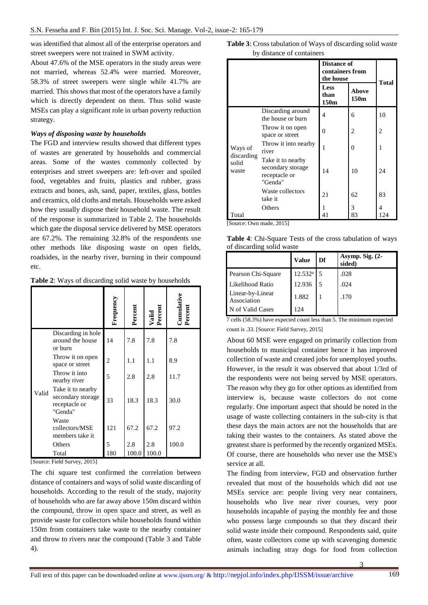was identified that almost all of the enterprise operators and street sweepers were not trained in SWM activity.

About 47.6% of the MSE operators in the study areas were not married, whereas 52.4% were married. Moreover, 58.3% of street sweepers were single while 41.7% are married. This shows that most of the operators have a family which is directly dependent on them. Thus solid waste MSEs can play a significant role in urban poverty reduction strategy.

#### *Ways of disposing waste by households*

The FGD and interview results showed that different types of wastes are generated by households and commercial areas. Some of the wastes commonly collected by enterprises and street sweepers are: left-over and spoiled food, vegetables and fruits, plastics and rubber, grass extracts and bones, ash, sand, paper, textiles, glass, bottles and ceramics, old cloths and metals. Households were asked how they usually dispose their household waste. The result of the response is summarized in Table 2. The households which gate the disposal service delivered by MSE operators are 67.2%. The remaining 32.8% of the respondents use other methods like disposing waste on open fields, roadsides, in the nearby river, burning in their compound etc.

**Table 2**: Ways of discarding solid waste by households

|       |                                                                    | Frequency | Percent | Valid<br>Percent | Cumulative<br>Percent |
|-------|--------------------------------------------------------------------|-----------|---------|------------------|-----------------------|
|       | Discarding in hole<br>around the house<br>or burn                  | 14        | 7.8     | 7.8              | 7.8                   |
|       | Throw it on open<br>space or street                                | 2         | 1.1     | 1.1              | 8.9                   |
|       | Throw it into<br>nearby river                                      | 5         | 2.8     | 2.8              | 11.7                  |
| Valid | Take it to nearby<br>secondary storage<br>receptacle or<br>"Genda" | 33        | 18.3    | 18.3             | 30.0                  |
|       | Waste<br>collectors/MSE<br>members take it                         | 121       | 67.2    | 67.2             | 97.2                  |
|       | Others                                                             | 5         | 2.8     | 2.8              | 100.0                 |
|       | Total                                                              | 180       | 100.0   | 100.0            |                       |

[Source: Field Survey, 2015]

The chi square test confirmed the correlation between distance of containers and ways of solid waste discarding of households. According to the result of the study, majority of households who are far away above 150m discard within the compound, throw in open space and street, as well as provide waste for collectors while households found within 150m from containers take waste to the nearby container and throw to rivers near the compound (Table 3 and Table 4).

| <b>Table 3:</b> Cross tabulation of Ways of discarding solid waste |  |
|--------------------------------------------------------------------|--|
| by distance of containers                                          |  |

|                              |                                                                    | <b>Distance of</b><br>containers from<br>the house | <b>Total</b>  |          |
|------------------------------|--------------------------------------------------------------------|----------------------------------------------------|---------------|----------|
|                              |                                                                    | Less<br>than<br>150 <sub>m</sub>                   | Above<br>150m |          |
|                              | Discarding around<br>the house or burn                             | 4                                                  | 6             | 10       |
|                              | Throw it on open<br>space or street                                | 0                                                  | 2             | 2        |
| Ways of                      | Throw it into nearby<br>river                                      | 1                                                  | 0             | 1        |
| discarding<br>solid<br>waste | Take it to nearby<br>secondary storage<br>receptacle or<br>"Genda" | 14                                                 | 10            | 24       |
|                              | Waste collectors<br>take it                                        | 21                                                 | 62            | 83       |
| Total                        | Others                                                             | 41                                                 | 3<br>83       | 4<br>124 |

[Source: Own made, 2015]

**Table 4**: Chi-Square Tests of the cross tabulation of ways of discarding solid waste

|                                 | <b>Value</b>     | Df | Asymp. Sig. $(2-$<br>sided) |
|---------------------------------|------------------|----|-----------------------------|
| Pearson Chi-Square              | $12.532^{\rm a}$ | 5  | .028                        |
| Likelihood Ratio                | 12.936           |    | .024                        |
| Linear-by-Linear<br>Association | 1.882            |    | .170                        |
| N of Valid Cases                | 124              |    |                             |

7 cells (58.3%) have expected count less than 5. The minimum expected count is .33. [Source: Field Survey, 2015]

About 60 MSE were engaged on primarily collection from households to municipal container hence it has improved collection of waste and created jobs for unemployed youths. However, in the result it was observed that about 1/3rd of the respondents were not being served by MSE operators. The reason why they go for other options as identified from interview is, because waste collectors do not come regularly. One important aspect that should be noted in the usage of waste collecting containers in the sub-city is that these days the main actors are not the households that are taking their wastes to the containers. As stated above the greatest share is performed by the recently organized MSEs. Of course, there are households who never use the MSE's service at all.

The finding from interview, FGD and observation further revealed that most of the households which did not use MSEs service are: people living very near containers, households who live near river courses, very poor households incapable of paying the monthly fee and those who possess large compounds so that they discard their solid waste inside their compound. Respondents said, quite often, waste collectors come up with scavenging domestic animals including stray dogs for food from collection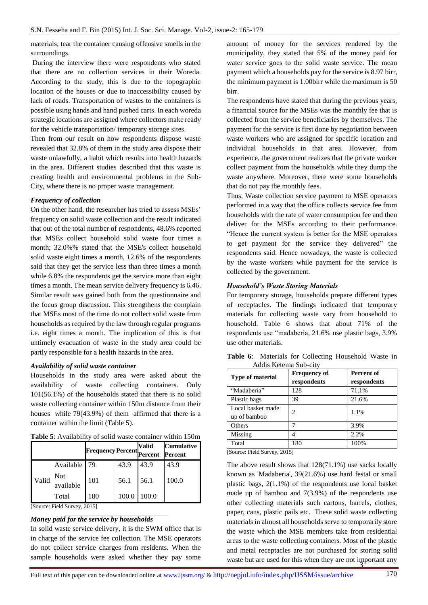materials; tear the container causing offensive smells in the surroundings.

During the interview there were respondents who stated that there are no collection services in their Woreda. According to the study, this is due to the topographic location of the houses or due to inaccessibility caused by lack of roads. Transportation of wastes to the containers is possible using hands and hand pushed carts. In each woreda strategic locations are assigned where collectors make ready for the vehicle transportation/ temporary storage sites.

Then from our result on how respondents dispose waste revealed that 32.8% of them in the study area dispose their waste unlawfully, a habit which results into health hazards in the area. Different studies described that this waste is creating health and environmental problems in the Sub-City, where there is no proper waste management.

#### *Frequency of collection*

On the other hand, the researcher has tried to assess MSEs' frequency on solid waste collection and the result indicated that out of the total number of respondents, 48.6% reported that MSEs collect household solid waste four times a month; 32.0%% stated that the MSE's collect household solid waste eight times a month, 12.6% of the respondents said that they get the service less than three times a month while 6.8% the respondents get the service more than eight times a month. The mean service delivery frequency is 6.46. Similar result was gained both from the questionnaire and the focus group discussion. This strengthens the complain that MSEs most of the time do not collect solid waste from households as required by the law through regular programs i.e. eight times a month. The implication of this is that untimely evacuation of waste in the study area could be partly responsible for a health hazards in the area.

#### *Availability of solid waste container*

Households in the study area were asked about the availability of waste collecting containers. Only 101(56.1%) of the households stated that there is no solid waste collecting container within 150m distance from their houses while 79(43.9%) of them affirmed that there is a container within the limit (Table 5).

|       |                  | <b>Frequency Percent</b> |       | <b>Valid</b><br><b>Percent</b> | <b>Cumulative</b><br><b>Percent</b> |
|-------|------------------|--------------------------|-------|--------------------------------|-------------------------------------|
|       | Available 79     |                          | 43.9  | 43.9                           | 43.9                                |
| Valid | Not<br>available | 101                      | 56.1  | 56.1                           | 100.0                               |
|       | Total            | 180                      | 100.0 | 100.0                          |                                     |

**Table 5**: Availability of solid waste container within 150m

[Source: Field Survey, 2015]

# *Money paid for the service by households*

In solid waste service delivery, it is the SWM office that is in charge of the service fee collection. The MSE operators do not collect service charges from residents. When the sample households were asked whether they pay some

amount of money for the services rendered by the municipality, they stated that 5% of the money paid for water service goes to the solid waste service. The mean payment which a households pay for the service is 8.97 birr, the minimum payment is 1.00birr while the maximum is 50 birr.

The respondents have stated that during the previous years, a financial source for the MSEs was the monthly fee that is collected from the service beneficiaries by themselves. The payment for the service is first done by negotiation between waste workers who are assigned for specific location and individual households in that area. However, from experience, the government realizes that the private worker collect payment from the households while they dump the waste anywhere. Moreover, there were some households that do not pay the monthly fees.

Thus, Waste collection service payment to MSE operators performed in a way that the office collects service fee from households with the rate of water consumption fee and then deliver for the MSEs according to their performance. "Hence the current system is better for the MSE operators to get payment for the service they delivered" the respondents said. Hence nowadays, the waste is collected by the waste workers while payment for the service is collected by the government.

#### *Household's Waste Storing Materials*

For temporary storage, households prepare different types of receptacles. The findings indicated that temporary materials for collecting waste vary from household to household. Table 6 shows that about 71% of the respondents use "madaberia, 21.6% use plastic bags, 3.9% use other materials.

| <b>Type of material</b>           | <b>Frequency of</b><br>respondents | Percent of<br>respondents |
|-----------------------------------|------------------------------------|---------------------------|
| "Madaberia"                       | 128                                | 71.1%                     |
| Plastic bags                      | 39                                 | 21.6%                     |
| Local basket made<br>up of bamboo | 2                                  | 1.1%                      |
| Others                            |                                    | 3.9%                      |
| Missing                           | 4                                  | 2.2%                      |
| Total                             | 180                                | 100%                      |

**Table 6**: Materials for Collecting Household Waste in Addis Ketema Sub-city

[Source: Field Survey, 2015]

waste but are used for this when they are not important any The above result shows that 128(71.1%) use sacks locally known as 'Madaberia', 39(21.6%) use hard festal or small plastic bags, 2(1.1%) of the respondents use local basket made up of bamboo and 7(3.9%) of the respondents use other collecting materials such cartons, barrels, clothes, paper, cans, plastic pails etc. These solid waste collecting materials in almost all households serve to temporarily store the waste which the MSE members take from residential areas to the waste collecting containers. Most of the plastic and metal receptacles are not purchased for storing solid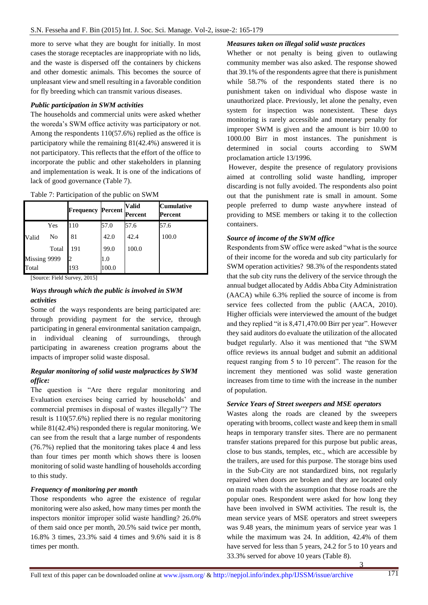more to serve what they are bought for initially. In most cases the storage receptacles are inappropriate with no lids, and the waste is dispersed off the containers by chickens and other domestic animals. This becomes the source of unpleasant view and smell resulting in a favorable condition for fly breeding which can transmit various diseases.

## *Public participation in SWM activities*

The households and commercial units were asked whether the woreda's SWM office activity was participatory or not. Among the respondents 110(57.6%) replied as the office is participatory while the remaining 81(42.4%) answered it is not participatory. This reflects that the effort of the office to incorporate the public and other stakeholders in planning and implementation is weak. It is one of the indications of lack of good governance (Table 7).

|              |       | <b>Frequency Percent</b> |       | <b>Valid</b><br>Percent | <b>Cumulative</b><br>Percent |
|--------------|-------|--------------------------|-------|-------------------------|------------------------------|
|              | Yes   | 110                      | 57.0  | 57.6                    | 57.6                         |
| Valid        | No    | 81                       | 42.0  | 42.4                    | 100.0                        |
|              | Total | 191                      | 99.0  | 100.0                   |                              |
| Missing 9999 |       | 12                       | 1.0   |                         |                              |
| Total        |       | 193                      | 100.0 |                         |                              |

Table 7: Participation of the public on SWM

[Source: Field Survey, 2015]

# *Ways through which the public is involved in SWM activities*

Some of the ways respondents are being participated are: through providing payment for the service, through participating in general environmental sanitation campaign, in individual cleaning of surroundings, through participating in awareness creation programs about the impacts of improper solid waste disposal.

# *Regular monitoring of solid waste malpractices by SWM office:*

The question is "Are there regular monitoring and Evaluation exercises being carried by households' and commercial premises in disposal of wastes illegally"? The result is 110(57.6%) replied there is no regular monitoring while 81(42.4%) responded there is regular monitoring. We can see from the result that a large number of respondents (76.7%) replied that the monitoring takes place 4 and less than four times per month which shows there is loosen monitoring of solid waste handling of households according to this study.

# *Frequency of monitoring per month*

Those respondents who agree the existence of regular monitoring were also asked, how many times per month the inspectors monitor improper solid waste handling? 26.0% of them said once per month, 20.5% said twice per month, 16.8% 3 times, 23.3% said 4 times and 9.6% said it is 8 times per month.

#### *Measures taken on illegal solid waste practices*

Whether or not penalty is being given to outlawing community member was also asked. The response showed that 39.1% of the respondents agree that there is punishment while 58.7% of the respondents stated there is no punishment taken on individual who dispose waste in unauthorized place. Previously, let alone the penalty, even system for inspection was nonexistent. These days monitoring is rarely accessible and monetary penalty for improper SWM is given and the amount is birr 10.00 to 1000.00 Birr in most instances. The punishment is determined in social courts according to SWM proclamation article 13/1996.

However, despite the presence of regulatory provisions aimed at controlling solid waste handling, improper discarding is not fully avoided. The respondents also point out that the punishment rate is small in amount. Some people preferred to dump waste anywhere instead of providing to MSE members or taking it to the collection containers.

## *Source of income of the SWM office*

Respondents from SW office were asked "what is the source of their income for the woreda and sub city particularly for SWM operation activities? 98.3% of the respondents stated that the sub city runs the delivery of the service through the annual budget allocated by Addis Abba City Administration (AACA) while 6.3% replied the source of income is from service fees collected from the public (AACA, 2010). Higher officials were interviewed the amount of the budget and they replied "it is 8,471,470.00 Birr per year". However they said auditors do evaluate the utilization of the allocated budget regularly. Also it was mentioned that "the SWM office reviews its annual budget and submit an additional request ranging from 5 to 10 percent". The reason for the increment they mentioned was solid waste generation increases from time to time with the increase in the number of population.

#### *Service Years of Street sweepers and MSE operators*

Wastes along the roads are cleaned by the sweepers operating with brooms, collect waste and keep them in small heaps in temporary transfer sites. There are no permanent transfer stations prepared for this purpose but public areas, close to bus stands, temples, etc., which are accessible by the trailers, are used for this purpose. The storage bins used in the Sub-City are not standardized bins, not regularly repaired when doors are broken and they are located only on main roads with the assumption that those roads are the popular ones. Respondent were asked for how long they have been involved in SWM activities. The result is, the mean service years of MSE operators and street sweepers was 9.48 years, the minimum years of service year was 1 while the maximum was 24. In addition, 42.4% of them have served for less than 5 years, 24.2 for 5 to 10 years and 33.3% served for above 10 years (Table 8).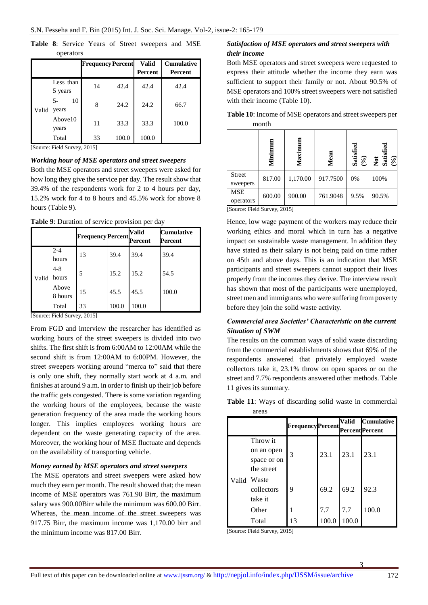|       |                      | <b>Frequency Percent</b> |       | <b>Valid</b> | <b>Cumulative</b> |
|-------|----------------------|--------------------------|-------|--------------|-------------------|
|       |                      |                          |       | Percent      | Percent           |
|       | Less than<br>5 years | 14                       | 42.4  | 42.4         | 42.4              |
| Valid | $5 -$<br>10<br>years | 8                        | 24.2  | 24.2         | 66.7              |
|       | Above10<br>years     | 11                       | 33.3  | 33.3         | 100.0             |
|       | Total                | 33                       | 100.0 | 100.0        |                   |

**Table 8**: Service Years of Street sweepers and MSE operators

[Source: Field Survey, 2015]

#### *Working hour of MSE operators and street sweepers*

Both the MSE operators and street sweepers were asked for how long they give the service per day. The result show that 39.4% of the respondents work for 2 to 4 hours per day, 15.2% work for 4 to 8 hours and 45.5% work for above 8 hours (Table 9).

**Table 9**: Duration of service provision per day

|       |                  | <b>Frequency Percent</b> |       | Valid<br>Percent | <b>Cumulative</b><br>Percent |
|-------|------------------|--------------------------|-------|------------------|------------------------------|
|       | $2 - 4$<br>hours | 13                       | 39.4  | 39.4             | 39.4                         |
| Valid | $4 - 8$<br>hours | 5                        | 15.2  | 15.2             | 54.5                         |
|       | Above<br>8 hours | 15                       | 45.5  | 45.5             | 100.0                        |
|       | Total            | 33                       | 100.0 | 100.0            |                              |

[Source: Field Survey, 2015]

From FGD and interview the researcher has identified as working hours of the street sweepers is divided into two shifts. The first shift is from 6:00AM to 12:00AM while the second shift is from 12:00AM to 6:00PM. However, the street sweepers working around "merca to" said that there is only one shift, they normally start work at 4 a.m. and finishes at around 9 a.m. in order to finish up their job before the traffic gets congested. There is some variation regarding the working hours of the employees, because the waste generation frequency of the area made the working hours longer. This implies employees working hours are dependent on the waste generating capacity of the area. Moreover, the working hour of MSE fluctuate and depends on the availability of transporting vehicle.

#### *Money earned by MSE operators and street sweepers*

The MSE operators and street sweepers were asked how much they earn per month. The result showed that; the mean income of MSE operators was 761.90 Birr, the maximum salary was 900.00Birr while the minimum was 600.00 Birr. Whereas, the mean income of the street sweepers was 917.75 Birr, the maximum income was 1,170.00 birr and the minimum income was 817.00 Birr.

# *Satisfaction of MSE operators and street sweepers with their income*

Both MSE operators and street sweepers were requested to express their attitude whether the income they earn was sufficient to support their family or not. About 90.5% of MSE operators and 100% street sweepers were not satisfied with their income (Table 10).

| Table 10: Income of MSE operators and street sweepers per |  |
|-----------------------------------------------------------|--|
| month                                                     |  |

|                           | Mininum | Ĕ<br>=<br>Maxim | Mean     | Satisfied<br>$\frac{(9/6)}{2}$ | Not<br>Satisfied<br>(%) |
|---------------------------|---------|-----------------|----------|--------------------------------|-------------------------|
| <b>Street</b><br>sweepers | 817.00  | 1,170.00        | 917.7500 | 0%                             | 100%                    |
| <b>MSE</b><br>operators   | 600.00  | 900.00          | 761.9048 | 9.5%                           | 90.5%                   |

[Source: Field Survey, 2015]

Hence, low wage payment of the workers may reduce their working ethics and moral which in turn has a negative impact on sustainable waste management. In addition they have stated as their salary is not being paid on time rather on 45th and above days. This is an indication that MSE participants and street sweepers cannot support their lives properly from the incomes they derive. The interview result has shown that most of the participants were unemployed, street men and immigrants who were suffering from poverty before they join the solid waste activity.

# *Commercial area Societies' Characteristic on the current Situation of SWM*

The results on the common ways of solid waste discarding from the commercial establishments shows that 69% of the respondents answered that privately employed waste collectors take it, 23.1% throw on open spaces or on the street and 7.7% respondents answered other methods. Table 11 gives its summary.

|       |                                                     | <b>FrequencyPercent</b> |       | Valid | <b>Cumulative</b><br><b>Percent</b> Percent |
|-------|-----------------------------------------------------|-------------------------|-------|-------|---------------------------------------------|
|       | Throw it<br>on an open<br>space or on<br>the street | 3                       | 23.1  | 23.1  | 23.1                                        |
| Valid | Waste<br>collectors<br>take it                      | 9                       | 69.2  | 69.2  | 92.3                                        |
|       | Other                                               |                         | 7.7   | 7.7   | 100.0                                       |
|       | Total                                               | 13                      | 100.0 | 100.0 |                                             |

**Table 11**: Ways of discarding solid waste in commercial areas

[Source: Field Survey, 2015]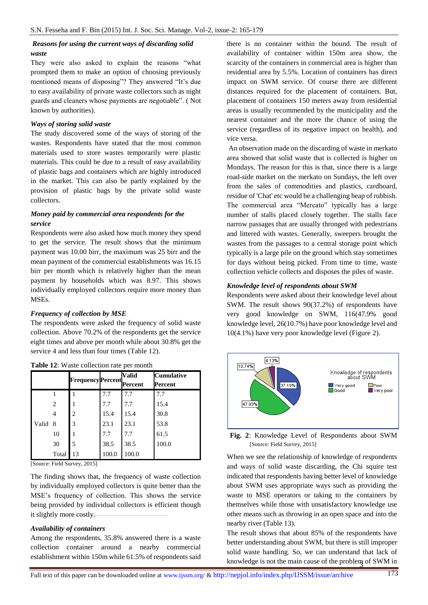# *Reasons for using the current ways of discarding solid waste*

They were also asked to explain the reasons "what prompted them to make an option of choosing previously mentioned means of disposing"? They answered "It's due to easy availability of private waste collectors such as night guards and cleaners whose payments are negotiable". ( Not known by authorities).

## *Ways of storing solid waste*

The study discovered some of the ways of storing of the wastes. Respondents have stated that the most common materials used to store wastes temporarily were plastic materials. This could be due to a result of easy availability of plastic bags and containers which are highly introduced in the market. This can also be partly explained by the provision of plastic bags by the private solid waste collectors.

# *Money paid by commercial area respondents for the service*

Respondents were also asked how much money they spend to get the service. The result shows that the minimum payment was 10.00 birr, the maximum was 25 birr and the mean payment of the commercial establishments was 16.15 birr per month which is relatively higher than the mean payment by households which was 8.97. This shows individually employed collectors require more money than MSEs.

# *Frequency of collection by MSE*

The respondents were asked the frequency of solid waste collection. Above 70.2% of the respondents get the service eight times and above per month while about 30.8% get the service 4 and less than four times (Table 12).

|         |       | <b>Frequency</b> Percent |       | <b>Valid</b><br>Percent | <b>Cumulative</b><br>Percent |
|---------|-------|--------------------------|-------|-------------------------|------------------------------|
|         |       |                          | 7.7   | 7.7                     | 7.7                          |
|         | 2     |                          | 7.7   | 7.7                     | 15.4                         |
|         | 4     | 2                        | 15.4  | 15.4                    | 30.8                         |
| Valid 8 |       | 3                        | 23.1  | 23.1                    | 53.8                         |
|         | 10    |                          | 7.7   | 7.7                     | 61.5                         |
|         | 30    | 5                        | 38.5  | 38.5                    | 100.0                        |
|         | Total | 13                       | 100.0 | 100.0                   |                              |

| Table 12: Waste collection rate per month |  |
|-------------------------------------------|--|
|-------------------------------------------|--|

[Source: Field Survey, 2015]

The finding shows that, the frequency of waste collection by individually employed collectors is quite better than the MSE's frequency of collection. This shows the service being provided by individual collectors is efficient though it slightly more costly.

# *Availability of containers*

Among the respondents, 35.8% answered there is a waste collection container around a nearby commercial establishment within 150m while 61.5% of respondents said

there is no container within the bound. The result of availability of container within 150m area show, the scarcity of the containers in commercial area is higher than residential area by 5.5%. Location of containers has direct impact on SWM service. Of course there are different distances required for the placement of containers. But, placement of containers 150 meters away from residential areas is usually recommended by the municipality and the nearest container and the more the chance of using the service (regardless of its negative impact on health), and vice versa.

An observation made on the discarding of waste in merkato area showed that solid waste that is collected is higher on Mondays. The reason for this is that, since there is a large road-side market on the merkato on Sundays, the left over from the sales of commodities and plastics, cardboard, residue of 'Chat' etc would be a challenging heap of rubbish. The commercial area "Mercato" typically has a large number of stalls placed closely together. The stalls face narrow passages that are usually thronged with pedestrians and littered with wastes. Generally, sweepers brought the wastes from the passages to a central storage point which typically is a large pile on the ground which stay sometimes for days without being picked. From time to time, waste collection vehicle collects and disposes the piles of waste.

# *Knowledge level of respondents about SWM*

Respondents were asked about their knowledge level about SWM. The result shows 90(37.2%) of respondents have very good knowledge on SWM, 116(47.9% good knowledge level, 26(10.7%) have poor knowledge level and 10(4.1%) have very poor knowledge level (Figure 2).



**Fig. 2**: Knowledge Level of Respondents about SWM [Source: Field Survey, 2015]

When we see the relationship of knowledge of respondents and ways of solid waste discarding, the Chi squire test indicated that respondents having better level of knowledge about SWM uses appropriate ways such as providing the waste to MSE operators or taking to the containers by themselves while those with unsatisfactory knowledge use other means such as throwing in an open space and into the nearby river (Table 13).

knowledge is not the main cause of the problem of SWM in The result shows that about 85% of the respondents have better understanding about SWM, but there is still improper solid waste handling. So, we can understand that lack of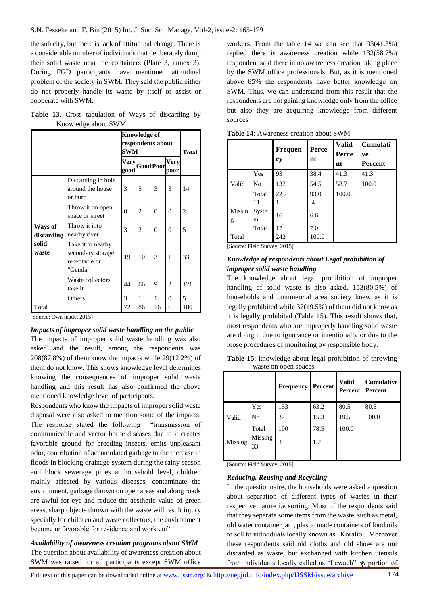the sub city, but there is lack of attitudinal change. There is a considerable number of individuals that deliberately dump their solid waste near the containers (Plate 3, annex 3). During FGD participants have mentioned attitudinal problem of the society in SWM. They said the public either do not properly handle its waste by itself or assist or cooperate with SWM.

|  |                     |  | Table 13. Cross tabulation of Ways of discarding by |  |
|--|---------------------|--|-----------------------------------------------------|--|
|  | Knowledge about SWM |  |                                                     |  |

|                       |                                                                    | Knowledge of<br>respondents about<br><b>SWM</b>        | <b>Total</b> |          |                |          |  |
|-----------------------|--------------------------------------------------------------------|--------------------------------------------------------|--------------|----------|----------------|----------|--|
|                       |                                                                    | Very<br><b>Very</b><br><b>GoodPoor</b><br>good<br>poor |              |          |                |          |  |
|                       | Discarding in hole<br>around the house<br>or burn                  | 3                                                      | 5            | 3        | 3              | 14       |  |
| Ways of<br>discarding | Throw it on open<br>space or street                                | $\theta$                                               | 2            | $\Omega$ | $\Omega$       | 2        |  |
|                       | Throw it into<br>nearby river                                      | 3                                                      | 2            | 0        | $\overline{0}$ | 5        |  |
| solid<br>waste        | Take it to nearby<br>secondary storage<br>receptacle or<br>"Genda" | 19                                                     | 10           | 3        | 1              | 33       |  |
|                       | Waste collectors<br>take it                                        | 44                                                     | 66           | 9        | 2              | 121      |  |
| Total                 | Others                                                             | 3<br>72                                                | 1<br>86      | 1<br>16  | $\Omega$<br>6  | 5<br>180 |  |

[Source: Own made, 2015]

#### *Impacts of improper solid waste handling on the public*

The impacts of improper solid waste handling was also asked and the result, among the respondents was 208(87.8%) of them know the impacts while 29(12.2%) of them do not know. This shows knowledge level determines knowing the consequences of improper solid waste handling and this result has also confirmed the above mentioned knowledge level of participants.

Respondents who know the impacts of improper solid waste disposal were also asked to mention some of the impacts. The response stated the following "transmission of communicable and vector borne diseases due to it creates favorable ground for breeding insects, emits unpleasant odor, contribution of accumulated garbage to the increase in floods in blocking drainage system during the rainy season and block sewerage pipes at household level, children mainly affected by various diseases, contaminate the environment, garbage thrown on open areas and along roads are awful for eye and reduce the aesthetic value of green areas, sharp objects thrown with the waste will result injury specially for children and waste collectors, the environment become unfavorable for residence and work etc".

*Availability of awareness creation programs about SWM* The question about availability of awareness creation about SWM was raised for all participants except SWM office

workers. From the table 14 we can see that 93(41.3%) replied there is awareness creation while 132(58.7%) respondent said there in no awareness creation taking place by the SWM office professionals. But, as it is mentioned above 85% the respondents have better knowledge on SWM. Thus, we can understand from this result that the respondents are not gaining knowledge only from the office but also they are acquiring knowledge from different sources

|             |                | <b>Frequen</b><br>cy | Perce<br>nt | <b>Valid</b><br>Perce<br>nt | <b>Cumulati</b><br>ve<br><b>Percent</b> |
|-------------|----------------|----------------------|-------------|-----------------------------|-----------------------------------------|
|             | Yes            | 93                   | 38.4        | 41.3                        | 41.3                                    |
| Valid       | N <sub>0</sub> | 132                  | 54.5        | 58.7                        | 100.0                                   |
|             | Total          | 225                  | 93.0        | 100.0                       |                                         |
|             | 11             |                      | .4          |                             |                                         |
| Missin<br>g | Syste<br>m     | 16                   | 6.6         |                             |                                         |
|             | Total          | 17                   | 7.0         |                             |                                         |
| Total       |                | 242                  | 100.0       |                             |                                         |

**Table 14**: Awareness creation about SWM

[Source: Field Survey, 2015]

# *Knowledge of respondents about Legal prohibition of improper solid waste handling*

The knowledge about legal prohibition of improper handling of solid waste is also asked. 153(80.5%) of households and commercial area society knew as it is legally prohibited while 37(19.5%) of them did not know as it is legally prohibited (Table 15). This result shows that, most respondents who are improperly handling solid waste are doing it due to ignorance or intentionally or due to the loose procedures of monitoring by responsible body.

**Table 15**: knowledge about legal prohibition of throwing waste on open spaces

| $-1.0$  |               |                  |         |              |                                               |  |
|---------|---------------|------------------|---------|--------------|-----------------------------------------------|--|
|         |               | <b>Frequency</b> | Percent | <b>Valid</b> | <b>Cumulative</b><br><b>Percent   Percent</b> |  |
|         | Yes           | 153              | 63.2    | 80.5         | 80.5                                          |  |
| Valid   | No            | 37               | 15.3    | 19.5         | 100.0                                         |  |
|         | Total         | 190              | 78.5    | 100.0        |                                               |  |
| Missing | Missing<br>33 | 3                | 1.2     |              |                                               |  |
|         |               |                  |         |              |                                               |  |

[Source: Field Survey, 2015]

# *Reducing, Reusing and Recycling*

from individuals locally called as "Lewach". A portion of In the questionnaire, the households were asked a question about separation of different types of wastes in their respective nature i.e sorting. Most of the respondents said that they separate some items from the waste such as metal, old water container jar , plastic made containers of food oils to sell to individuals locally known as" Koralio". Moreover these respondents said old cloths and old shoes are not discarded as waste, but exchanged with kitchen utensils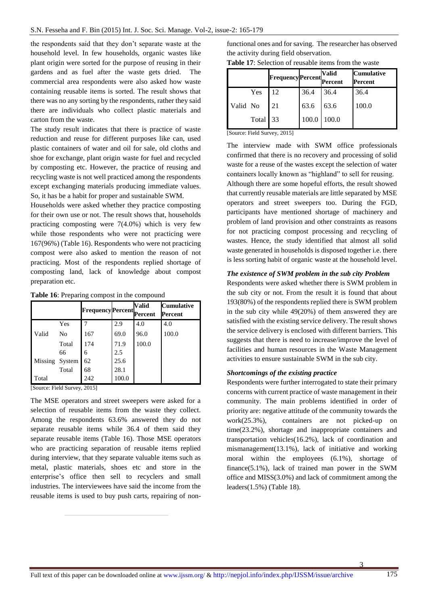the respondents said that they don't separate waste at the household level. In few households, organic wastes like plant origin were sorted for the purpose of reusing in their gardens and as fuel after the waste gets dried. The commercial area respondents were also asked how waste containing reusable items is sorted. The result shows that there was no any sorting by the respondents, rather they said there are individuals who collect plastic materials and carton from the waste.

The study result indicates that there is practice of waste reduction and reuse for different purposes like can, used plastic containers of water and oil for sale, old cloths and shoe for exchange, plant origin waste for fuel and recycled by composting etc. However, the practice of reusing and recycling waste is not well practiced among the respondents except exchanging materials producing immediate values. So, it has be a habit for proper and sustainable SWM.

Households were asked whether they practice composting for their own use or not. The result shows that, households practicing composting were 7(4.0%) which is very few while those respondents who were not practicing were 167(96%) (Table 16). Respondents who were not practicing compost were also asked to mention the reason of not practicing. Most of the respondents replied shortage of composting land, lack of knowledge about compost preparation etc.

**Table 16**: Preparing compost in the compound

|         |        | <b>Frequency Percent</b> |       | <b>Valid</b><br>Percent | <b>Cumulative</b><br>Percent |
|---------|--------|--------------------------|-------|-------------------------|------------------------------|
|         | Yes    | 7                        | 2.9   | 4.0                     | 4.0                          |
| Valid   | No     | 167                      | 69.0  | 96.0                    | 100.0                        |
|         | Total  | 174                      | 71.9  | 100.0                   |                              |
|         | 66     | 6                        | 2.5   |                         |                              |
| Missing | System | 62                       | 25.6  |                         |                              |
|         | Total  | 68                       | 28.1  |                         |                              |
| Total   |        | 242                      | 100.0 |                         |                              |

[Source: Field Survey, 2015]

The MSE operators and street sweepers were asked for a selection of reusable items from the waste they collect. Among the respondents 63.6% answered they do not separate reusable items while 36.4 of them said they separate reusable items (Table 16). Those MSE operators who are practicing separation of reusable items replied during interview, that they separate valuable items such as metal, plastic materials, shoes etc and store in the enterprise's office then sell to recyclers and small industries. The interviewees have said the income from the reusable items is used to buy push carts, repairing of non-

functional ones and for saving. The researcher has observed the activity during field observation.

|          |          | <b>Frequency</b> Percent |       | <b>Valid</b><br>Percent | <b>Cumulative</b><br>Percent |
|----------|----------|--------------------------|-------|-------------------------|------------------------------|
|          | Yes      | 12                       | 36.4  | 36.4                    | 36.4                         |
| Valid No |          | 21                       | 63.6  | 63.6                    | 100.0                        |
|          | Total 33 |                          | 100.0 | 100.0                   |                              |

**Table 17**: Selection of reusable items from the waste

[Source: Field Survey, 2015]

The interview made with SWM office professionals confirmed that there is no recovery and processing of solid waste for a reuse of the wastes except the selection of water containers locally known as "highland" to sell for reusing. Although there are some hopeful efforts, the result showed that currently reusable materials are little separated by MSE operators and street sweepers too. During the FGD, participants have mentioned shortage of machinery and problem of land provision and other constraints as reasons for not practicing compost processing and recycling of wastes. Hence, the study identified that almost all solid waste generated in households is disposed together i.e. there is less sorting habit of organic waste at the household level.

#### *The existence of SWM problem in the sub city Problem*

Respondents were asked whether there is SWM problem in the sub city or not. From the result it is found that about 193(80%) of the respondents replied there is SWM problem in the sub city while 49(20%) of them answered they are satisfied with the existing service delivery. The result shows the service delivery is enclosed with different barriers. This suggests that there is need to increase/improve the level of facilities and human resources in the Waste Management activities to ensure sustainable SWM in the sub city.

#### *Shortcomings of the existing practice*

Respondents were further interrogated to state their primary concerns with current practice of waste management in their community. The main problems identified in order of priority are: negative attitude of the community towards the work(25.3%), containers are not picked-up on time(23.2%), shortage and inappropriate containers and transportation vehicles(16.2%), lack of coordination and mismanagement(13.1%), lack of initiative and working moral within the employees (6.1%), shortage of finance(5.1%), lack of trained man power in the SWM office and MISS(3.0%) and lack of commitment among the leaders(1.5%) (Table 18).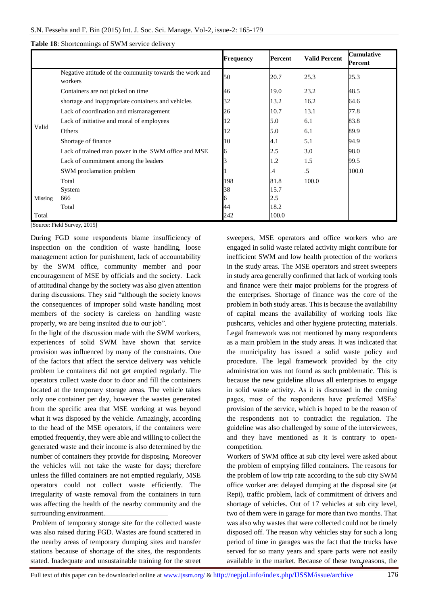|         |                                                                    | <b>Frequency</b> | Percent | <b>Valid Percent</b> | <b>Cumulative</b><br>Percent |
|---------|--------------------------------------------------------------------|------------------|---------|----------------------|------------------------------|
|         | Negative attitude of the community towards the work and<br>workers | 50               | 20.7    | 25.3                 | 25.3                         |
|         | Containers are not picked on time                                  | 46               | 19.0    | 23.2                 | 48.5                         |
|         | shortage and inappropriate containers and vehicles                 | 32               | 13.2    | 16.2                 | 64.6                         |
|         | Lack of coordination and mismanagement                             | 26               | 10.7    | 13.1                 | 77.8                         |
|         | Lack of initiative and moral of employees                          | 12               | 5.0     | 6.1                  | 83.8                         |
| Valid   | Others                                                             | 12               | 5.0     | 6.1                  | 89.9                         |
|         | Shortage of finance                                                | 10               | 4.1     | 5.1                  | 94.9                         |
|         | Lack of trained man power in the SWM office and MSE                |                  | 2.5     | 3.0                  | 98.0                         |
|         | Lack of commitment among the leaders                               |                  | 1.2     | 1.5                  | 99.5                         |
|         | SWM proclamation problem                                           |                  | .4      | .5                   | 100.0                        |
|         | Total                                                              | 198              | 81.8    | 100.0                |                              |
|         | System                                                             | 38               | 15.7    |                      |                              |
| Missing | 666                                                                |                  | 2.5     |                      |                              |
|         | Total                                                              | 44               | 18.2    |                      |                              |
| Total   |                                                                    | 242              | 100.0   |                      |                              |

#### **Table 18**: Shortcomings of SWM service delivery

[Source: Field Survey, 2015]

During FGD some respondents blame insufficiency of inspection on the condition of waste handling, loose management action for punishment, lack of accountability by the SWM office, community member and poor encouragement of MSE by officials and the society. Lack of attitudinal change by the society was also given attention during discussions. They said "although the society knows the consequences of improper solid waste handling most members of the society is careless on handling waste properly, we are being insulted due to our job".

In the light of the discussion made with the SWM workers, experiences of solid SWM have shown that service provision was influenced by many of the constraints. One of the factors that affect the service delivery was vehicle problem i.e containers did not get emptied regularly. The operators collect waste door to door and fill the containers located at the temporary storage areas. The vehicle takes only one container per day, however the wastes generated from the specific area that MSE working at was beyond what it was disposed by the vehicle. Amazingly, according to the head of the MSE operators, if the containers were emptied frequently, they were able and willing to collect the generated waste and their income is also determined by the number of containers they provide for disposing. Moreover the vehicles will not take the waste for days; therefore unless the filled containers are not emptied regularly, MSE operators could not collect waste efficiently. The irregularity of waste removal from the containers in turn was affecting the health of the nearby community and the surrounding environment.

Problem of temporary storage site for the collected waste was also raised during FGD. Wastes are found scattered in the nearby areas of temporary dumping sites and transfer stations because of shortage of the sites, the respondents stated. Inadequate and unsustainable training for the street

sweepers, MSE operators and office workers who are engaged in solid waste related activity might contribute for inefficient SWM and low health protection of the workers in the study areas. The MSE operators and street sweepers in study area generally confirmed that lack of working tools and finance were their major problems for the progress of the enterprises. Shortage of finance was the core of the problem in both study areas. This is because the availability of capital means the availability of working tools like pushcarts, vehicles and other hygiene protecting materials. Legal framework was not mentioned by many respondents as a main problem in the study areas. It was indicated that the municipality has issued a solid waste policy and procedure. The legal framework provided by the city administration was not found as such problematic. This is because the new guideline allows all enterprises to engage in solid waste activity. As it is discussed in the coming pages, most of the respondents have preferred MSEs' provision of the service, which is hoped to be the reason of the respondents not to contradict the regulation. The guideline was also challenged by some of the interviewees, and they have mentioned as it is contrary to opencompetition.

available in the market. Because of these two reasons, the Workers of SWM office at sub city level were asked about the problem of emptying filled containers. The reasons for the problem of low trip rate according to the sub city SWM office worker are: delayed dumping at the disposal site (at Repi), traffic problem, lack of commitment of drivers and shortage of vehicles. Out of 17 vehicles at sub city level, two of them were in garage for more than two months. That was also why wastes that were collected could not be timely disposed off. The reason why vehicles stay for such a long period of time in garages was the fact that the trucks have served for so many years and spare parts were not easily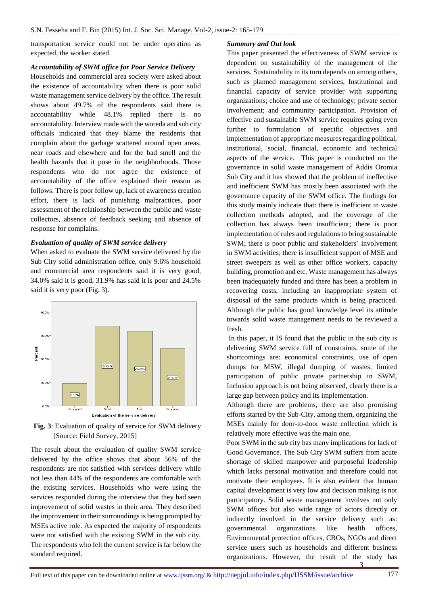transportation service could not be under operation as expected, the worker stated.

#### *Accountability of SWM office for Poor Service Delivery*

Households and commercial area society were asked about the existence of accountability when there is poor solid waste management service delivery by the office. The result shows about 49.7% of the respondents said there is accountability while 48.1% replied there is no accountability. Interview made with the woreda and sub city officials indicated that they blame the residents that complain about the garbage scattered around open areas, near roads and elsewhere and for the bad smell and the health hazards that it pose in the neighborhoods. Those respondents who do not agree the existence of accountability of the office explained their reason as follows. There is poor follow up, lack of awareness creation effort, there is lack of punishing malpractices, poor assessment of the relationship between the public and waste collectors, absence of feedback seeking and absence of response for complains.

#### *Evaluation of quality of SWM service delivery*

When asked to evaluate the SWM service delivered by the Sub City solid administration office, only 9.6% household and commercial area respondents said it is very good, 34.0% said it is good, 31.9% has said it is poor and 24.5% said it is very poor (Fig. 3).



**Fig. 3**: Evaluation of quality of service for SWM delivery [Source: Field Survey, 2015]

The result about the evaluation of quality SWM service delivered by the office shows that about 56% of the respondents are not satisfied with services delivery while not less than 44% of the respondents are comfortable with the existing services. Households who were using the services responded during the interview that they had seen improvement of solid wastes in their area. They described the improvement in their surroundings is being prompted by MSEs active role. As expected the majority of respondents were not satisfied with the existing SWM in the sub city. The respondents who felt the current service is far below the standard required.

#### *Summary and Out look*

This paper presented the effectiveness of SWM service is dependent on sustainability of the management of the services. Sustainability in its turn depends on among others, such as planned management services, Institutional and financial capacity of service provider with supporting organizations; choice and use of technology; private sector involvement; and community participation. Provision of effective and sustainable SWM service requires going even further to formulation of specific objectives and implementation of appropriate measures regarding political, institutional, social, financial, economic and technical aspects of the service. This paper is conducted on the governance in solid waste management of Addis Oromia Sub City and it has showed that the problem of ineffective and inefficient SWM has mostly been associated with the governance capacity of the SWM office. The findings for this study mainly indicate that: there is inefficient in waste collection methods adopted, and the coverage of the collection has always been insufficient; there is poor implementation of rules and regulations to bring sustainable SWM; there is poor public and stakeholders' involvement in SWM activities; there is insufficient support of MSE and street sweepers as well as other office workers, capacity building, promotion and etc. Waste management has always been inadequately funded and there has been a problem in recovering costs, including an inappropriate system of disposal of the same products which is being practiced. Although the public has good knowledge level its attitude towards solid waste management needs to be reviewed a fresh.

In this paper, it IS found that the public in the sub city is delivering SWM service full of constraints. some of the shortcomings are: economical constraints, use of open dumps for MSW, illegal dumping of wastes, limited participation of public private partnership in SWM, Inclusion approach is not being observed, clearly there is a large gap between policy and its implementation.

Although there are problems, there are also promising efforts started by the Sub-City, among them, organizing the MSEs mainly for door-to-door waste collection which is relatively more effective was the main one.

3 Poor SWM in the sub city has many implications for lack of Good Governance. The Sub City SWM suffers from acute shortage of skilled manpower and purposeful leadership which lacks personal motivation and therefore could not motivate their employees. It is also evident that human capital development is very low and decision making is not participatory. Solid waste management involves not only SWM offices but also wide range of actors directly or indirectly involved in the service delivery such as: governmental organizations like health offices, Environmental protection offices, CBOs, NGOs and direct service users such as households and different business organizations. However, the result of the study has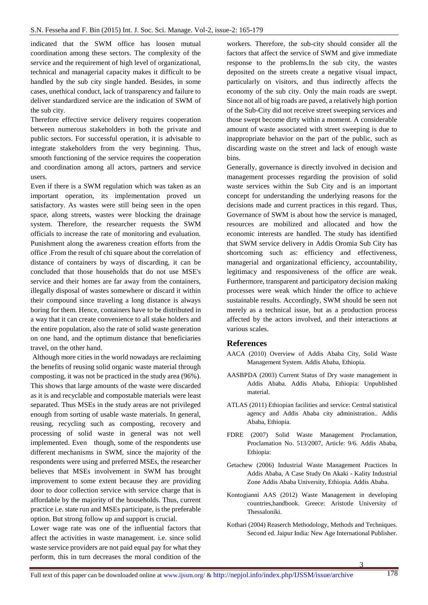indicated that the SWM office has loosen mutual coordination among these sectors. The complexity of the service and the requirement of high level of organizational, technical and managerial capacity makes it difficult to be handled by the sub city single handed. Besides, in some cases, unethical conduct, lack of transparency and failure to deliver standardized service are the indication of SWM of the sub city.

Therefore effective service delivery requires cooperation between numerous stakeholders in both the private and public sectors. For successful operation, it is advisable to integrate stakeholders from the very beginning. Thus, smooth functioning of the service requires the cooperation and coordination among all actors, partners and service users.

Even if there is a SWM regulation which was taken as an important operation, its implementation proved un satisfactory. As wastes were still being seen in the open space, along streets, wastes were blocking the drainage system. Therefore, the researcher requests the SWM officials to increase the rate of monitoring and evaluation. Punishment along the awareness creation efforts from the office .From the result of chi square about the correlation of distance of containers by ways of discarding, it can be concluded that those households that do not use MSE's service and their homes are far away from the containers, illegally disposal of wastes somewhere or discard it within their compound since traveling a long distance is always boring for them. Hence, containers have to be distributed in a way that it can create convenience to all stake holders and the entire population, also the rate of solid waste generation on one hand, and the optimum distance that beneficiaries travel, on the other hand.

Although more cities in the world nowadays are reclaiming the benefits of reusing solid organic waste material through composting, it was not be practiced in the study area (96%). This shows that large amounts of the waste were discarded as it is and recyclable and compostable materials were least separated. Thus MSEs in the study areas are not privileged enough from sorting of usable waste materials. In general, reusing, recycling such as composting, recovery and processing of solid waste in general was not well implemented. Even though, some of the respondents use different mechanisms in SWM, since the majority of the respondents were using and preferred MSEs, the researcher believes that MSEs involvement in SWM has brought improvement to some extent because they are providing door to door collection service with service charge that is affordable by the majority of the households. Thus, current practice i.e. state run and MSEs participate, is the preferable option. But strong follow up and support is crucial.

Lower wage rate was one of the influential factors that affect the activities in waste management. i.e. since solid waste service providers are not paid equal pay for what they perform, this in turn decreases the moral condition of the

workers. Therefore, the sub-city should consider all the factors that affect the service of SWM and give immediate response to the problems.In the sub city, the wastes deposited on the streets create a negative visual impact, particularly on visitors, and thus indirectly affects the economy of the sub city. Only the main roads are swept. Since not all of big roads are paved, a relatively high portion of the Sub-City did not receive street sweeping services and those swept become dirty within a moment. A considerable amount of waste associated with street sweeping is due to inappropriate behavior on the part of the public, such as discarding waste on the street and lack of enough waste bins.

Generally, governance is directly involved in decision and management processes regarding the provision of solid waste services within the Sub City and is an important concept for understanding the underlying reasons for the decisions made and current practices in this regard. Thus, Governance of SWM is about how the service is managed, resources are mobilized and allocated and how the economic interests are handled. The study has identified that SWM service delivery in Addis Oromia Sub City has shortcoming such as: efficiency and effectiveness, managerial and organizational efficiency, accountability, legitimacy and responsiveness of the office are weak. Furthermore, transparent and participatory decision making processes were weak which hinder the office to achieve sustainable results. Accordingly, SWM should be seen not merely as a technical issue, but as a production process affected by the actors involved, and their interactions at various scales.

#### **References**

- AACA (2010) Overview of Addis Ababa City, Solid Waste Management System. Addis Ababa, Ethiopia.
- AASBPDA (2003) Current Status of Dry waste management in Addis Ababa. Addis Ababa, Ethiopia: Unpublished material.
- ATLAS (2011) Ethiopian facilities and service: Central statistical agency and Addis Ababa city administration.. Addis Ababa, Ethiopia.
- FDRE (2007) Solid Waste Management Proclamation, Proclamation No. 513/2007, Article: 9/6. Addis Ababa, Ethiopia:
- Getachew (2006) Industrial Waste Management Practices In Addis Ababa, A Case Study On Akaki - Kality Industrial Zone Addis Ababa University, Ethiopia. Addis Ababa.
- Kontogianni AAS (2012) Waste Management in developing countries,handbook. Greece: Aristotle University of Thessaloniki.
- Kothari (2004) Reaserch Methodology, Methods and Techniques. Second ed. Jaipur India: New Age International Publisher.